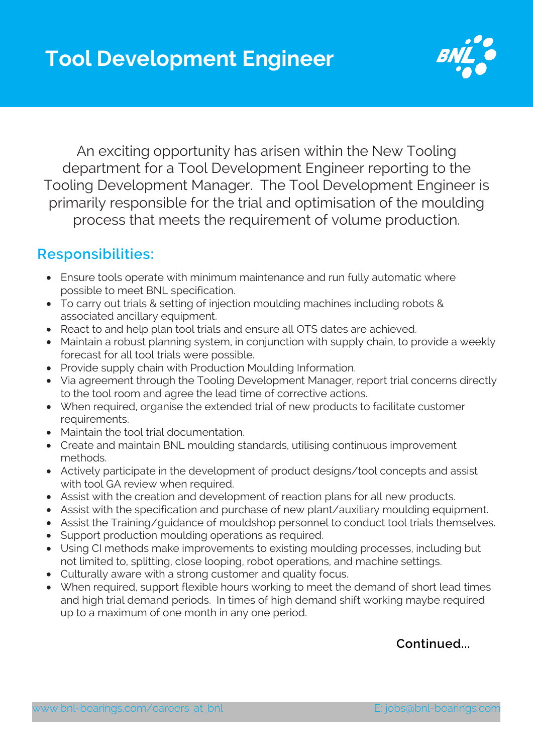

An exciting opportunity has arisen within the New Tooling department for a Tool Development Engineer reporting to the Tooling Development Manager. The Tool Development Engineer is primarily responsible for the trial and optimisation of the moulding process that meets the requirement of volume production.

## **Responsibilities:**

- Ensure tools operate with minimum maintenance and run fully automatic where possible to meet BNL specification.
- To carry out trials & setting of injection moulding machines including robots & associated ancillary equipment.
- React to and help plan tool trials and ensure all OTS dates are achieved.
- Maintain a robust planning system, in conjunction with supply chain, to provide a weekly forecast for all tool trials were possible.
- Provide supply chain with Production Moulding Information.
- Via agreement through the Tooling Development Manager, report trial concerns directly to the tool room and agree the lead time of corrective actions.
- When required, organise the extended trial of new products to facilitate customer requirements.
- Maintain the tool trial documentation.
- Create and maintain BNL moulding standards, utilising continuous improvement methods.
- Actively participate in the development of product designs/tool concepts and assist with tool GA review when required.
- Assist with the creation and development of reaction plans for all new products.
- Assist with the specification and purchase of new plant/auxiliary moulding equipment.
- Assist the Training/guidance of mouldshop personnel to conduct tool trials themselves.
- Support production moulding operations as required.
- Using CI methods make improvements to existing moulding processes, including but not limited to, splitting, close looping, robot operations, and machine settings.
- Culturally aware with a strong customer and quality focus.
- When required, support flexible hours working to meet the demand of short lead times and high trial demand periods. In times of high demand shift working maybe required up to a maximum of one month in any one period.

**Continued...**